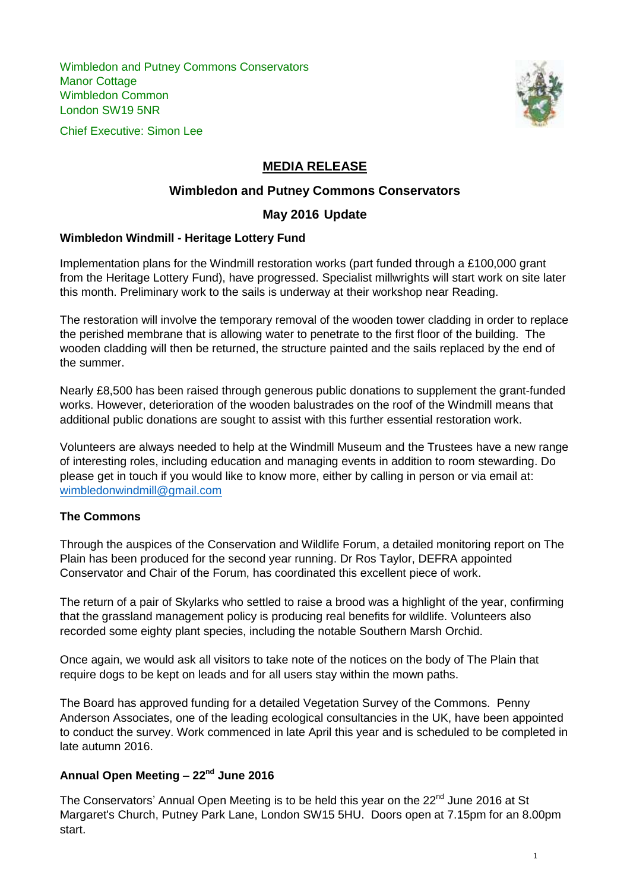Wimbledon and Putney Commons Conservators Manor Cottage Wimbledon Common London SW19 5NR





# **MEDIA RELEASE**

# **Wimbledon and Putney Commons Conservators**

# **May 2016 Update**

## **Wimbledon Windmill - Heritage Lottery Fund**

Implementation plans for the Windmill restoration works (part funded through a £100,000 grant from the Heritage Lottery Fund), have progressed. Specialist millwrights will start work on site later this month. Preliminary work to the sails is underway at their workshop near Reading.

The restoration will involve the temporary removal of the wooden tower cladding in order to replace the perished membrane that is allowing water to penetrate to the first floor of the building. The wooden cladding will then be returned, the structure painted and the sails replaced by the end of the summer.

Nearly £8,500 has been raised through generous public donations to supplement the grant-funded works. However, deterioration of the wooden balustrades on the roof of the Windmill means that additional public donations are sought to assist with this further essential restoration work.

Volunteers are always needed to help at the Windmill Museum and the Trustees have a new range of interesting roles, including education and managing events in addition to room stewarding. Do please get in touch if you would like to know more, either by calling in person or via email at: [wimbledonwindmill@gmail.com](mailto:wimbledonwindmill@gmail.com)

# **The Commons**

Through the auspices of the Conservation and Wildlife Forum, a detailed monitoring report on The Plain has been produced for the second year running. Dr Ros Taylor, DEFRA appointed Conservator and Chair of the Forum, has coordinated this excellent piece of work.

The return of a pair of Skylarks who settled to raise a brood was a highlight of the year, confirming that the grassland management policy is producing real benefits for wildlife. Volunteers also recorded some eighty plant species, including the notable Southern Marsh Orchid.

Once again, we would ask all visitors to take note of the notices on the body of The Plain that require dogs to be kept on leads and for all users stay within the mown paths.

The Board has approved funding for a detailed Vegetation Survey of the Commons. Penny Anderson Associates, one of the leading ecological consultancies in the UK, have been appointed to conduct the survey. Work commenced in late April this year and is scheduled to be completed in late autumn 2016.

# **Annual Open Meeting – 22nd June 2016**

The Conservators' Annual Open Meeting is to be held this year on the 22<sup>nd</sup> June 2016 at St Margaret's Church, Putney Park Lane, London SW15 5HU. Doors open at 7.15pm for an 8.00pm start.